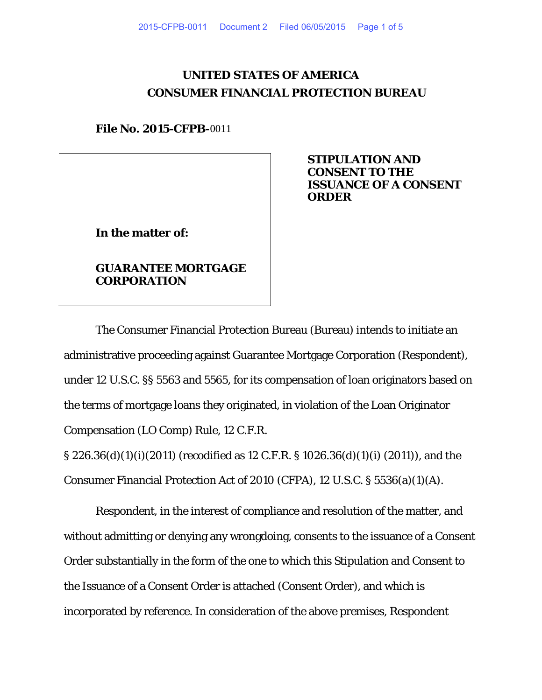# **UNITED STATES OF AMERICA CONSUMER FINANCIAL PROTECTION BUREAU**

**File No. 2015-CFPB-**0011

**STIPULATION AND CONSENT TO THE ISSUANCE OF A CONSENT ORDER**

**In the matter of:** 

## **GUARANTEE MORTGAGE CORPORATION**

The Consumer Financial Protection Bureau (Bureau) intends to initiate an administrative proceeding against Guarantee Mortgage Corporation (Respondent), under 12 U.S.C. §§ 5563 and 5565, for its compensation of loan originators based on the terms of mortgage loans they originated, in violation of the Loan Originator Compensation (LO Comp) Rule, 12 C.F.R.

§ 226.36(d)(1)(i)(2011) (recodified as 12 C.F.R. § 1026.36(d)(1)(i) (2011)), and the Consumer Financial Protection Act of 2010 (CFPA), 12 U.S.C. § 5536(a)(1)(A).

Respondent, in the interest of compliance and resolution of the matter, and without admitting or denying any wrongdoing, consents to the issuance of a Consent Order substantially in the form of the one to which this Stipulation and Consent to the Issuance of a Consent Order is attached (Consent Order), and which is incorporated by reference. In consideration of the above premises, Respondent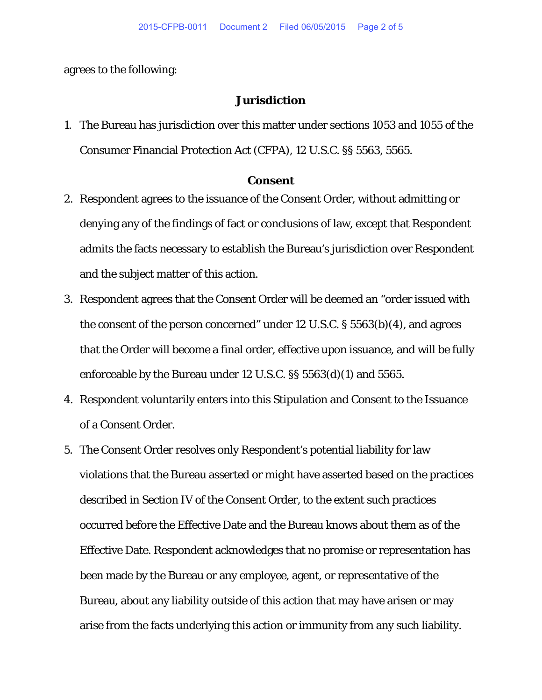agrees to the following:

### **Jurisdiction**

1. The Bureau has jurisdiction over this matter under sections 1053 and 1055 of the Consumer Financial Protection Act (CFPA), 12 U.S.C. §§ 5563, 5565.

#### **Consent**

- 2. Respondent agrees to the issuance of the Consent Order, without admitting or denying any of the findings of fact or conclusions of law, except that Respondent admits the facts necessary to establish the Bureau's jurisdiction over Respondent and the subject matter of this action.
- 3. Respondent agrees that the Consent Order will be deemed an "order issued with the consent of the person concerned" under 12 U.S.C. § 5563(b)(4), and agrees that the Order will become a final order, effective upon issuance, and will be fully enforceable by the Bureau under 12 U.S.C. §§ 5563(d)(1) and 5565.
- 4. Respondent voluntarily enters into this Stipulation and Consent to the Issuance of a Consent Order.
- 5. The Consent Order resolves only Respondent's potential liability for law violations that the Bureau asserted or might have asserted based on the practices described in Section IV of the Consent Order, to the extent such practices occurred before the Effective Date and the Bureau knows about them as of the Effective Date. Respondent acknowledges that no promise or representation has been made by the Bureau or any employee, agent, or representative of the Bureau, about any liability outside of this action that may have arisen or may arise from the facts underlying this action or immunity from any such liability.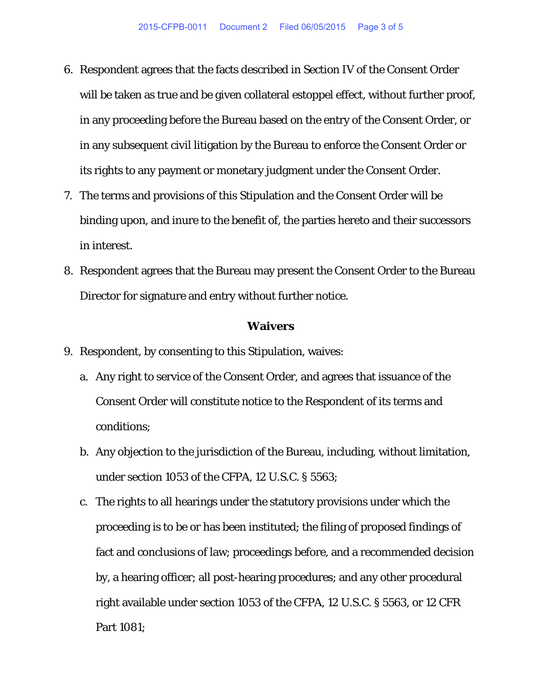- 6. Respondent agrees that the facts described in Section IV of the Consent Order will be taken as true and be given collateral estoppel effect, without further proof, in any proceeding before the Bureau based on the entry of the Consent Order, or in any subsequent civil litigation by the Bureau to enforce the Consent Order or its rights to any payment or monetary judgment under the Consent Order.
- 7. The terms and provisions of this Stipulation and the Consent Order will be binding upon, and inure to the benefit of, the parties hereto and their successors in interest.
- 8. Respondent agrees that the Bureau may present the Consent Order to the Bureau Director for signature and entry without further notice.

#### **Waivers**

- 9. Respondent, by consenting to this Stipulation, waives:
	- a. Any right to service of the Consent Order, and agrees that issuance of the Consent Order will constitute notice to the Respondent of its terms and conditions;
	- b. Any objection to the jurisdiction of the Bureau, including, without limitation, under section 1053 of the CFPA, 12 U.S.C. § 5563;
	- c. The rights to all hearings under the statutory provisions under which the proceeding is to be or has been instituted; the filing of proposed findings of fact and conclusions of law; proceedings before, and a recommended decision by, a hearing officer; all post-hearing procedures; and any other procedural right available under section 1053 of the CFPA, 12 U.S.C. § 5563, or 12 CFR Part 1081;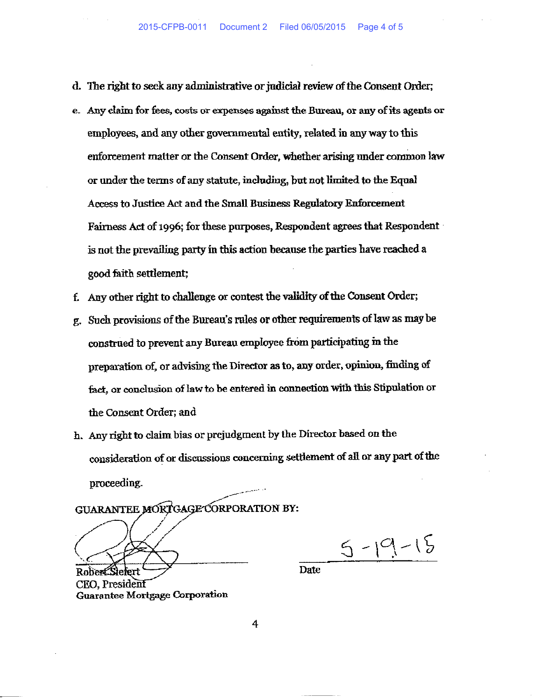- d. The right to seek any administrative or judicial review of the Consent Order;
- e. Any claim for fees, costs or expenses against the Bureau, or any of its agents or employees, and any other governmental entity, related in any way to this enforcement matter or the Consent Order, whether arising under common law or under the terms of any statute, including, but not limited to the Equal Access to Justice Act and the Small Business Regulatory Enforcement Fairness Act of 1996; for these purposes, Respondent agrees that Respondent is not the prevailing party in this action because the parties have reached a good faith settlement;
- f. Any other right to challenge or contest the validity of the Consent Order;
- g. Such provisions of the Bureau's rules or other requirements of law as may be construed to prevent any Bureau employee from participating in the preparation of, or advising the Director as to, any order, opinion, finding of fact, or conclusion of law to be entered in connection with this Stipulation or the Consent Order; and
- h. Any right to claim bias or prejudgment by the Director based on the consideration of or discussions concerning settlement of all or any part of the proceeding.

GUARANTEE MORTGAGE CORPORATION BY:

 $5 - 19 - 15$ 

**Date** 

CEO, President **Guarantee Mortgage Corporation** 

4